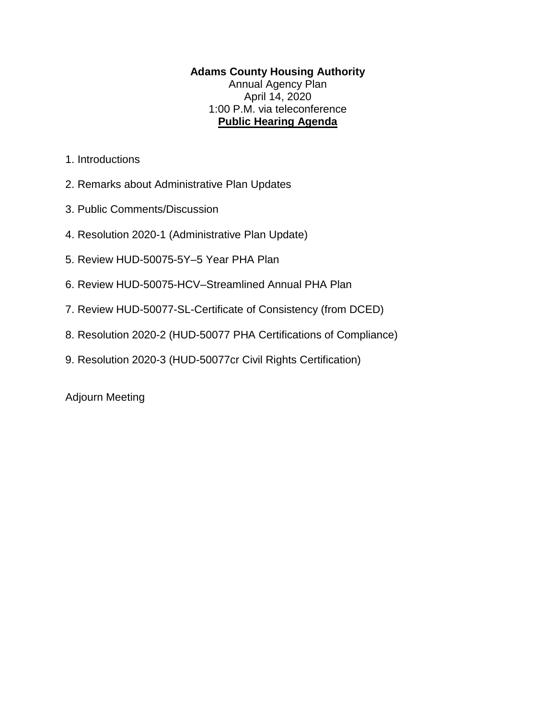## **Adams County Housing Authority** Annual Agency Plan April 14, 2020 1:00 P.M. via teleconference **Public Hearing Agenda**

- 1. Introductions
- 2. Remarks about Administrative Plan Updates
- 3. Public Comments/Discussion
- 4. Resolution 2020-1 (Administrative Plan Update)
- 5. Review HUD-50075-5Y–5 Year PHA Plan
- 6. Review HUD-50075-HCV–Streamlined Annual PHA Plan
- 7. Review HUD-50077-SL-Certificate of Consistency (from DCED)
- 8. Resolution 2020-2 (HUD-50077 PHA Certifications of Compliance)
- 9. Resolution 2020-3 (HUD-50077cr Civil Rights Certification)

Adjourn Meeting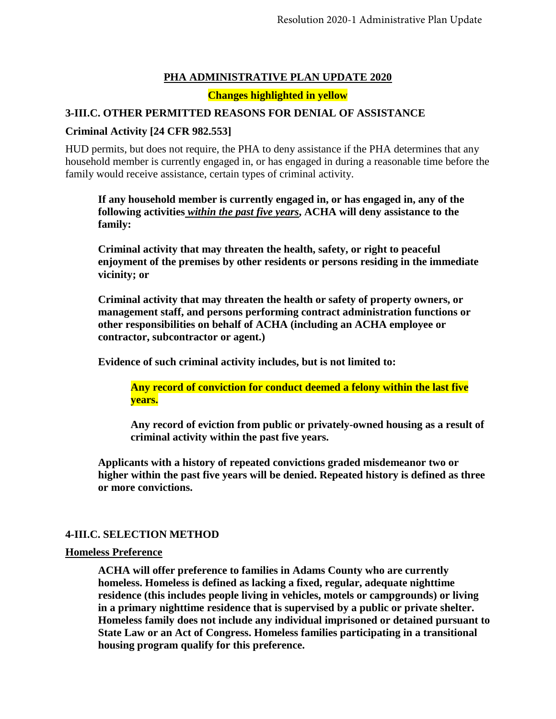## **PHA ADMINISTRATIVE PLAN UPDATE 2020**

**Changes highlighted in yellow**

## **3-III.C. OTHER PERMITTED REASONS FOR DENIAL OF ASSISTANCE**

## **Criminal Activity [24 CFR 982.553]**

HUD permits, but does not require, the PHA to deny assistance if the PHA determines that any household member is currently engaged in, or has engaged in during a reasonable time before the family would receive assistance, certain types of criminal activity.

**If any household member is currently engaged in, or has engaged in, any of the following activities** *within the past five years***, ACHA will deny assistance to the family:** 

**Criminal activity that may threaten the health, safety, or right to peaceful enjoyment of the premises by other residents or persons residing in the immediate vicinity; or** 

**Criminal activity that may threaten the health or safety of property owners, or management staff, and persons performing contract administration functions or other responsibilities on behalf of ACHA (including an ACHA employee or contractor, subcontractor or agent.)** 

**Evidence of such criminal activity includes, but is not limited to:**

**Any record of conviction for conduct deemed a felony within the last five years.**

**Any record of eviction from public or privately-owned housing as a result of criminal activity within the past five years.**

**Applicants with a history of repeated convictions graded misdemeanor two or higher within the past five years will be denied. Repeated history is defined as three or more convictions.**

## **4-III.C. SELECTION METHOD**

### **Homeless Preference**

**ACHA will offer preference to families in Adams County who are currently homeless. Homeless is defined as lacking a fixed, regular, adequate nighttime residence (this includes people living in vehicles, motels or campgrounds) or living in a primary nighttime residence that is supervised by a public or private shelter. Homeless family does not include any individual imprisoned or detained pursuant to State Law or an Act of Congress. Homeless families participating in a transitional housing program qualify for this preference.**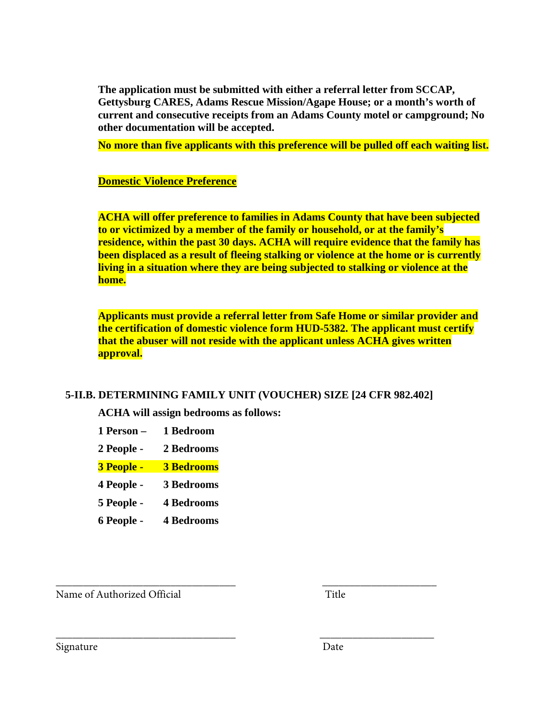**The application must be submitted with either a referral letter from SCCAP, Gettysburg CARES, Adams Rescue Mission/Agape House; or a month's worth of current and consecutive receipts from an Adams County motel or campground; No other documentation will be accepted.** 

**No more than five applicants with this preference will be pulled off each waiting list.**

## **Domestic Violence Preference**

**ACHA will offer preference to families in Adams County that have been subjected to or victimized by a member of the family or household, or at the family's residence, within the past 30 days. ACHA will require evidence that the family has been displaced as a result of fleeing stalking or violence at the home or is currently living in a situation where they are being subjected to stalking or violence at the home.** 

**Applicants must provide a referral letter from Safe Home or similar provider and the certification of domestic violence form HUD-5382. The applicant must certify that the abuser will not reside with the applicant unless ACHA gives written approval.** 

## **5-II.B. DETERMINING FAMILY UNIT (VOUCHER) SIZE [24 CFR 982.402]**

\_\_\_\_\_\_\_\_\_\_\_\_\_\_\_\_\_\_\_\_\_\_\_\_\_\_\_\_\_\_\_\_\_ \_\_\_\_\_\_\_\_\_\_\_\_\_\_\_\_\_\_\_\_\_

**ACHA will assign bedrooms as follows:**

**1 Person – 1 Bedroom** 

**2 People - 2 Bedrooms** 

**3 People - 3 Bedrooms** 

**4 People - 3 Bedrooms** 

**5 People - 4 Bedrooms** 

**6 People - 4 Bedrooms** 

Name of Authorized Official Title

\_\_\_\_\_\_\_\_\_\_\_\_\_\_\_\_\_\_\_\_\_\_\_\_\_\_\_\_\_\_\_\_\_ \_\_\_\_\_\_\_\_\_\_\_\_\_\_\_\_\_\_\_\_\_

Signature Date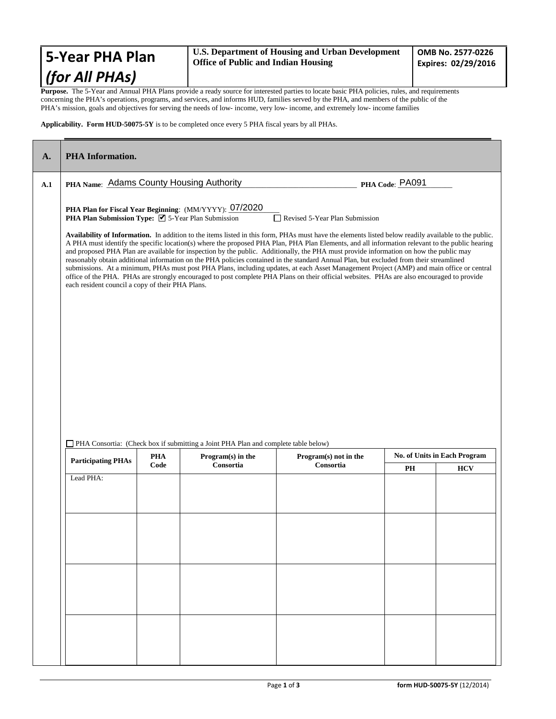| 5-Year PHA Plan                                                                                                                                     | U.S. Department of Housing and Urban Development<br><b>Office of Public and Indian Housing</b> | OMB No. 2577-0226<br>Expires: 02/29/2016 |
|-----------------------------------------------------------------------------------------------------------------------------------------------------|------------------------------------------------------------------------------------------------|------------------------------------------|
| (for All PHAs)                                                                                                                                      |                                                                                                |                                          |
| <b>Purpose.</b> The 5-Year and Annual PHA Plans provide a ready source for interested parties to locate basic PHA policies, rules, and requirements |                                                                                                |                                          |

concerning the PHA's operations, programs, and services, and informs HUD, families served by the PHA, and members of the public of the PHA's mission, goals and objectives for serving the needs of low- income, very low- income, and extremely low- income families

#### **Applicability. Form HUD-50075-5Y** is to be completed once every 5 PHA fiscal years by all PHAs.

| A.1 | PHA Name: Adams County Housing Authority                                                                                                                                |  |                                                        | PHA Code: PA091                                                                                                                                                                                                                                                                                                                                                                                                                                                                                                                                                                                                                                                                                                                                                                                                                                                                                                           |    |                                            |
|-----|-------------------------------------------------------------------------------------------------------------------------------------------------------------------------|--|--------------------------------------------------------|---------------------------------------------------------------------------------------------------------------------------------------------------------------------------------------------------------------------------------------------------------------------------------------------------------------------------------------------------------------------------------------------------------------------------------------------------------------------------------------------------------------------------------------------------------------------------------------------------------------------------------------------------------------------------------------------------------------------------------------------------------------------------------------------------------------------------------------------------------------------------------------------------------------------------|----|--------------------------------------------|
|     | PHA Plan Submission Type: ■ 5-Year Plan Submission<br>each resident council a copy of their PHA Plans.                                                                  |  | PHA Plan for Fiscal Year Beginning: (MM/YYYY): 07/2020 | Revised 5-Year Plan Submission<br>Availability of Information. In addition to the items listed in this form, PHAs must have the elements listed below readily available to the public.<br>A PHA must identify the specific location(s) where the proposed PHA Plan, PHA Plan Elements, and all information relevant to the public hearing<br>and proposed PHA Plan are available for inspection by the public. Additionally, the PHA must provide information on how the public may<br>reasonably obtain additional information on the PHA policies contained in the standard Annual Plan, but excluded from their streamlined<br>submissions. At a minimum, PHAs must post PHA Plans, including updates, at each Asset Management Project (AMP) and main office or central<br>office of the PHA. PHAs are strongly encouraged to post complete PHA Plans on their official websites. PHAs are also encouraged to provide |    |                                            |
|     | PHA Consortia: (Check box if submitting a Joint PHA Plan and complete table below)<br><b>PHA</b><br>Program(s) in the<br><b>Participating PHAs</b><br>Code<br>Consortia |  |                                                        |                                                                                                                                                                                                                                                                                                                                                                                                                                                                                                                                                                                                                                                                                                                                                                                                                                                                                                                           |    |                                            |
|     |                                                                                                                                                                         |  |                                                        | Program(s) not in the<br>Consortia                                                                                                                                                                                                                                                                                                                                                                                                                                                                                                                                                                                                                                                                                                                                                                                                                                                                                        | PH | No. of Units in Each Program<br><b>HCV</b> |
|     | Lead PHA:                                                                                                                                                               |  |                                                        |                                                                                                                                                                                                                                                                                                                                                                                                                                                                                                                                                                                                                                                                                                                                                                                                                                                                                                                           |    |                                            |
|     |                                                                                                                                                                         |  |                                                        |                                                                                                                                                                                                                                                                                                                                                                                                                                                                                                                                                                                                                                                                                                                                                                                                                                                                                                                           |    |                                            |
|     |                                                                                                                                                                         |  |                                                        |                                                                                                                                                                                                                                                                                                                                                                                                                                                                                                                                                                                                                                                                                                                                                                                                                                                                                                                           |    |                                            |
|     |                                                                                                                                                                         |  |                                                        |                                                                                                                                                                                                                                                                                                                                                                                                                                                                                                                                                                                                                                                                                                                                                                                                                                                                                                                           |    |                                            |
|     |                                                                                                                                                                         |  |                                                        |                                                                                                                                                                                                                                                                                                                                                                                                                                                                                                                                                                                                                                                                                                                                                                                                                                                                                                                           |    |                                            |
|     |                                                                                                                                                                         |  |                                                        |                                                                                                                                                                                                                                                                                                                                                                                                                                                                                                                                                                                                                                                                                                                                                                                                                                                                                                                           |    |                                            |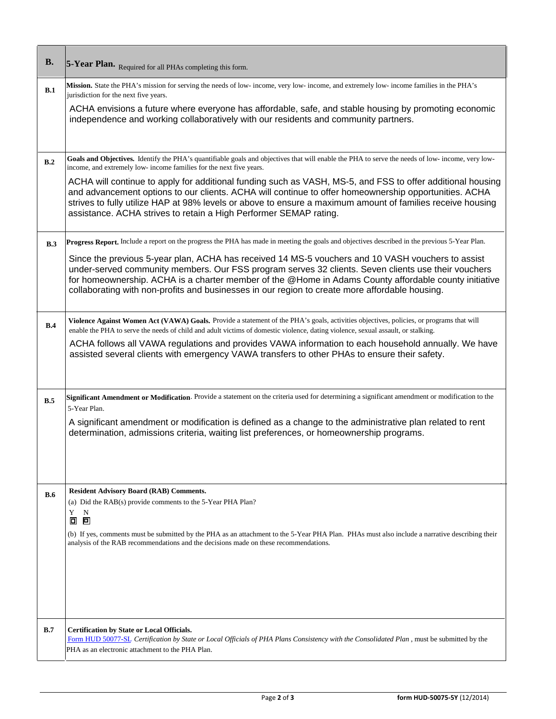| <b>B.</b> | 5-Year Plan. Required for all PHAs completing this form.                                                                                                                                                                                                                                                                                                                                                            |
|-----------|---------------------------------------------------------------------------------------------------------------------------------------------------------------------------------------------------------------------------------------------------------------------------------------------------------------------------------------------------------------------------------------------------------------------|
| B.1       | Mission. State the PHA's mission for serving the needs of low- income, very low- income, and extremely low- income families in the PHA's<br>jurisdiction for the next five years.<br>ACHA envisions a future where everyone has affordable, safe, and stable housing by promoting economic                                                                                                                          |
|           | independence and working collaboratively with our residents and community partners.                                                                                                                                                                                                                                                                                                                                 |
| B.2       | Goals and Objectives. Identify the PHA's quantifiable goals and objectives that will enable the PHA to serve the needs of low-income, very low-<br>income, and extremely low- income families for the next five years.                                                                                                                                                                                              |
|           | ACHA will continue to apply for additional funding such as VASH, MS-5, and FSS to offer additional housing<br>and advancement options to our clients. ACHA will continue to offer homeownership opportunities. ACHA<br>strives to fully utilize HAP at 98% levels or above to ensure a maximum amount of families receive housing<br>assistance. ACHA strives to retain a High Performer SEMAP rating.              |
| B.3       | Progress Report. Include a report on the progress the PHA has made in meeting the goals and objectives described in the previous 5-Year Plan.                                                                                                                                                                                                                                                                       |
|           | Since the previous 5-year plan, ACHA has received 14 MS-5 vouchers and 10 VASH vouchers to assist<br>under-served community members. Our FSS program serves 32 clients. Seven clients use their vouchers<br>for homeownership. ACHA is a charter member of the @Home in Adams County affordable county initiative<br>collaborating with non-profits and businesses in our region to create more affordable housing. |
| B.4       | Violence Against Women Act (VAWA) Goals. Provide a statement of the PHA's goals, activities objectives, policies, or programs that will<br>enable the PHA to serve the needs of child and adult victims of domestic violence, dating violence, sexual assault, or stalking.                                                                                                                                         |
|           | ACHA follows all VAWA regulations and provides VAWA information to each household annually. We have<br>assisted several clients with emergency VAWA transfers to other PHAs to ensure their safety.                                                                                                                                                                                                                 |
| B.5       | Significant Amendment or Modification. Provide a statement on the criteria used for determining a significant amendment or modification to the<br>5-Year Plan.                                                                                                                                                                                                                                                      |
|           | A significant amendment or modification is defined as a change to the administrative plan related to rent<br>determination, admissions criteria, waiting list preferences, or homeownership programs.                                                                                                                                                                                                               |
| B.6       | <b>Resident Advisory Board (RAB) Comments.</b><br>(a) Did the RAB(s) provide comments to the 5-Year PHA Plan?<br>Y<br>N<br>回<br>$\Box$                                                                                                                                                                                                                                                                              |
|           | (b) If yes, comments must be submitted by the PHA as an attachment to the 5-Year PHA Plan. PHAs must also include a narrative describing their<br>analysis of the RAB recommendations and the decisions made on these recommendations.                                                                                                                                                                              |
| B.7       | <b>Certification by State or Local Officials.</b><br>Form HUD 50077-SL Certification by State or Local Officials of PHA Plans Consistency with the Consolidated Plan, must be submitted by the<br>PHA as an electronic attachment to the PHA Plan.                                                                                                                                                                  |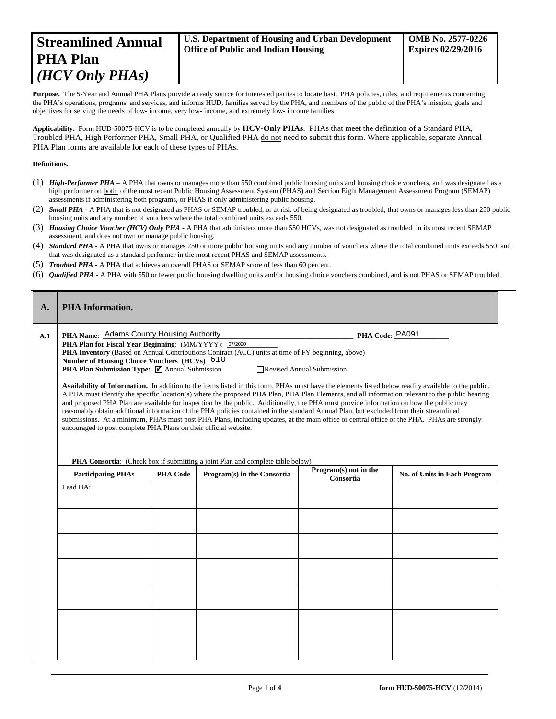Purpose. The 5-Year and Annual PHA Plans provide a ready source for interested parties to locate basic PHA policies, rules, and requirements concerning the PHA's operations, programs, and services, and informs HUD, families served by the PHA, and members of the public of the PHA's mission, goals and objectives for serving the needs of low- income, very low- income, and extremely low- income families

**Applicability.** Form HUD-50075-HCV is to be completed annually by **HCV-Only PHAs**. PHAs that meet the definition of a Standard PHA, Troubled PHA, High Performer PHA, Small PHA, or Qualified PHA do not need to submit this form. Where applicable, separate Annual PHA Plan forms are available for each of these types of PHAs.

#### **Definitions.**

- (1) *High-Performer PHA* A PHA that owns or manages more than 550 combined public housing units and housing choice vouchers, and was designated as a high performer on both of the most recent Public Housing Assessment System (PHAS) and Section Eight Management Assessment Program (SEMAP) assessments if administering both programs, or PHAS if only administering public housing.
- (2) *Small PHA* A PHA that is not designated as PHAS or SEMAP troubled, or at risk of being designated as troubled, that owns or manages less than 250 public housing units and any number of vouchers where the total combined units exceeds 550.
- (3) *Housing Choice Voucher (HCV) Only PHA* A PHA that administers more than 550 HCVs, was not designated as troubled in its most recent SEMAP assessment, and does not own or manage public housing.
- (4) *Standard PHA* A PHA that owns or manages 250 or more public housing units and any number of vouchers where the total combined units exceeds 550, and that was designated as a standard performer in the most recent PHAS and SEMAP assessments.
- (5) *Troubled PHA* **-** A PHA that achieves an overall PHAS or SEMAP score of less than 60 percent.
- (6) *Qualified PHA* A PHA with 550 or fewer public housing dwelling units and/or housing choice vouchers combined, and is not PHAS or SEMAP troubled.

| $\mathbf{A}$ . | <b>PHA Information.</b>                                                                                                                                                                                                                                                                                                                                                                                                                                                                                                                                                                                                                                                                                                                                                                                                                                                                                 |                 |                                                                                                   |                                    |                                     |  |
|----------------|---------------------------------------------------------------------------------------------------------------------------------------------------------------------------------------------------------------------------------------------------------------------------------------------------------------------------------------------------------------------------------------------------------------------------------------------------------------------------------------------------------------------------------------------------------------------------------------------------------------------------------------------------------------------------------------------------------------------------------------------------------------------------------------------------------------------------------------------------------------------------------------------------------|-----------------|---------------------------------------------------------------------------------------------------|------------------------------------|-------------------------------------|--|
| A.1            | PHA Name: Adams County Housing Authority                                                                                                                                                                                                                                                                                                                                                                                                                                                                                                                                                                                                                                                                                                                                                                                                                                                                |                 |                                                                                                   | PHA Code: PA091                    |                                     |  |
|                | PHA Plan for Fiscal Year Beginning: (MM/YYYY): 07/2020                                                                                                                                                                                                                                                                                                                                                                                                                                                                                                                                                                                                                                                                                                                                                                                                                                                  |                 | PHA Inventory (Based on Annual Contributions Contract (ACC) units at time of FY beginning, above) |                                    |                                     |  |
|                | Number of Housing Choice Vouchers (HCVs) 610                                                                                                                                                                                                                                                                                                                                                                                                                                                                                                                                                                                                                                                                                                                                                                                                                                                            |                 |                                                                                                   |                                    |                                     |  |
|                | PHA Plan Submission Type: ☑ Annual Submission                                                                                                                                                                                                                                                                                                                                                                                                                                                                                                                                                                                                                                                                                                                                                                                                                                                           |                 |                                                                                                   | □ Revised Annual Submission        |                                     |  |
|                | Availability of Information. In addition to the items listed in this form, PHAs must have the elements listed below readily available to the public.<br>A PHA must identify the specific location(s) where the proposed PHA Plan, PHA Plan Elements, and all information relevant to the public hearing<br>and proposed PHA Plan are available for inspection by the public. Additionally, the PHA must provide information on how the public may<br>reasonably obtain additional information of the PHA policies contained in the standard Annual Plan, but excluded from their streamlined<br>submissions. At a minimum, PHAs must post PHA Plans, including updates, at the main office or central office of the PHA. PHAs are strongly<br>encouraged to post complete PHA Plans on their official website.<br><b>PHA Consortia:</b> (Check box if submitting a joint Plan and complete table below) |                 |                                                                                                   |                                    |                                     |  |
|                | <b>Participating PHAs</b>                                                                                                                                                                                                                                                                                                                                                                                                                                                                                                                                                                                                                                                                                                                                                                                                                                                                               | <b>PHA Code</b> | Program(s) in the Consortia                                                                       | Program(s) not in the<br>Consortia | <b>No. of Units in Each Program</b> |  |
|                | Lead HA:                                                                                                                                                                                                                                                                                                                                                                                                                                                                                                                                                                                                                                                                                                                                                                                                                                                                                                |                 |                                                                                                   |                                    |                                     |  |
|                |                                                                                                                                                                                                                                                                                                                                                                                                                                                                                                                                                                                                                                                                                                                                                                                                                                                                                                         |                 |                                                                                                   |                                    |                                     |  |
|                |                                                                                                                                                                                                                                                                                                                                                                                                                                                                                                                                                                                                                                                                                                                                                                                                                                                                                                         |                 |                                                                                                   |                                    |                                     |  |
|                |                                                                                                                                                                                                                                                                                                                                                                                                                                                                                                                                                                                                                                                                                                                                                                                                                                                                                                         |                 |                                                                                                   |                                    |                                     |  |
|                |                                                                                                                                                                                                                                                                                                                                                                                                                                                                                                                                                                                                                                                                                                                                                                                                                                                                                                         |                 |                                                                                                   |                                    |                                     |  |
|                |                                                                                                                                                                                                                                                                                                                                                                                                                                                                                                                                                                                                                                                                                                                                                                                                                                                                                                         |                 |                                                                                                   |                                    |                                     |  |
|                |                                                                                                                                                                                                                                                                                                                                                                                                                                                                                                                                                                                                                                                                                                                                                                                                                                                                                                         |                 |                                                                                                   |                                    |                                     |  |
|                |                                                                                                                                                                                                                                                                                                                                                                                                                                                                                                                                                                                                                                                                                                                                                                                                                                                                                                         |                 |                                                                                                   |                                    |                                     |  |
|                |                                                                                                                                                                                                                                                                                                                                                                                                                                                                                                                                                                                                                                                                                                                                                                                                                                                                                                         |                 |                                                                                                   |                                    |                                     |  |
|                |                                                                                                                                                                                                                                                                                                                                                                                                                                                                                                                                                                                                                                                                                                                                                                                                                                                                                                         |                 |                                                                                                   |                                    |                                     |  |
|                |                                                                                                                                                                                                                                                                                                                                                                                                                                                                                                                                                                                                                                                                                                                                                                                                                                                                                                         |                 |                                                                                                   |                                    |                                     |  |
|                |                                                                                                                                                                                                                                                                                                                                                                                                                                                                                                                                                                                                                                                                                                                                                                                                                                                                                                         |                 |                                                                                                   |                                    |                                     |  |
|                |                                                                                                                                                                                                                                                                                                                                                                                                                                                                                                                                                                                                                                                                                                                                                                                                                                                                                                         |                 |                                                                                                   |                                    |                                     |  |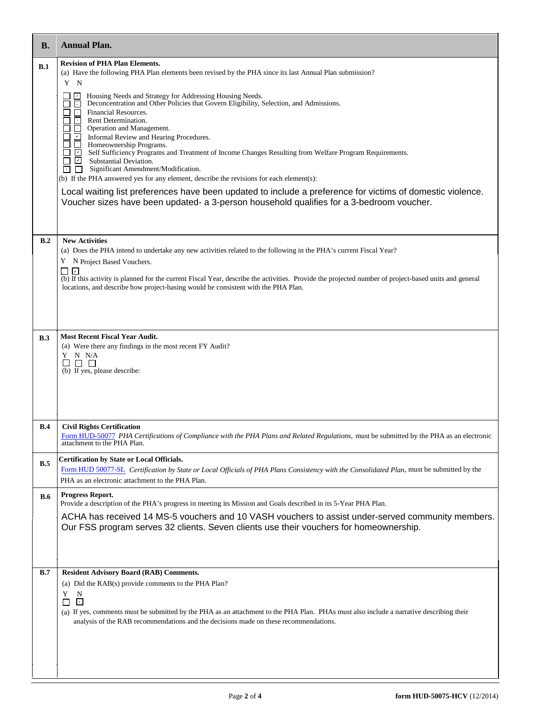| В.         | <b>Annual Plan.</b>                                                                                                                                                                                                                                                                                                                                                                                                                                                                                                                                                                                                                                                                                                                                                                                                                                                                                                                                                                                                                       |
|------------|-------------------------------------------------------------------------------------------------------------------------------------------------------------------------------------------------------------------------------------------------------------------------------------------------------------------------------------------------------------------------------------------------------------------------------------------------------------------------------------------------------------------------------------------------------------------------------------------------------------------------------------------------------------------------------------------------------------------------------------------------------------------------------------------------------------------------------------------------------------------------------------------------------------------------------------------------------------------------------------------------------------------------------------------|
| B.1        | <b>Revision of PHA Plan Elements.</b><br>(a) Have the following PHA Plan elements been revised by the PHA since its last Annual Plan submission?<br>Y N<br>Housing Needs and Strategy for Addressing Housing Needs.<br>Deconcentration and Other Policies that Govern Eligibility, Selection, and Admissions.<br>⊓<br>Financial Resources.<br>⊡<br>Rent Determination.<br>O,<br>Operation and Management.<br>The Informal Review and Hearing Procedures.<br>Informal Review and Hearing Procedures.<br>Informal Review and Hearing Procedures.<br>ISelf Sufficiency Programs and Treatment of Income Changes Resulting from Welfare Program Requ<br>$\Box$ Substantial Deviation.<br>Significant Amendment/Modification.<br>⊡<br>n.<br>(b) If the PHA answered yes for any element, describe the revisions for each element(s):<br>Local waiting list preferences have been updated to include a preference for victims of domestic violence.<br>Voucher sizes have been updated- a 3-person household qualifies for a 3-bedroom voucher. |
| B.2        | <b>New Activities</b><br>(a) Does the PHA intend to undertake any new activities related to the following in the PHA's current Fiscal Year?<br>Y N Project Based Vouchers.<br>$\overline{\cdot}$<br>$\Box$<br>(b) If this activity is planned for the current Fiscal Year, describe the activities. Provide the projected number of project-based units and general                                                                                                                                                                                                                                                                                                                                                                                                                                                                                                                                                                                                                                                                       |
|            | locations, and describe how project-basing would be consistent with the PHA Plan.                                                                                                                                                                                                                                                                                                                                                                                                                                                                                                                                                                                                                                                                                                                                                                                                                                                                                                                                                         |
| B.3        | <b>Most Recent Fiscal Year Audit.</b><br>(a) Were there any findings in the most recent FY Audit?<br>Y N N/A<br>$\Box$ $\Box$<br>$\Box$<br>(b) If yes, please describe:                                                                                                                                                                                                                                                                                                                                                                                                                                                                                                                                                                                                                                                                                                                                                                                                                                                                   |
| B.4        | <b>Civil Rights Certification</b><br>Form HUD-50077 PHA Certifications of Compliance with the PHA Plans and Related Regulations, must be submitted by the PHA as an electronic<br>attachment to the PHA Plan.                                                                                                                                                                                                                                                                                                                                                                                                                                                                                                                                                                                                                                                                                                                                                                                                                             |
| B.5        | <b>Certification by State or Local Officials.</b><br>Form HUD 50077-SL Certification by State or Local Officials of PHA Plans Consistency with the Consolidated Plan, must be submitted by the<br>PHA as an electronic attachment to the PHA Plan.                                                                                                                                                                                                                                                                                                                                                                                                                                                                                                                                                                                                                                                                                                                                                                                        |
| <b>B.6</b> | Progress Report.<br>Provide a description of the PHA's progress in meeting its Mission and Goals described in its 5-Year PHA Plan.<br>ACHA has received 14 MS-5 vouchers and 10 VASH vouchers to assist under-served community members.<br>Our FSS program serves 32 clients. Seven clients use their vouchers for homeownership.                                                                                                                                                                                                                                                                                                                                                                                                                                                                                                                                                                                                                                                                                                         |
| B.7        | <b>Resident Advisory Board (RAB) Comments.</b><br>(a) Did the RAB(s) provide comments to the PHA Plan?<br>Y<br>N<br>⊡<br>$\Box$<br>(a) If yes, comments must be submitted by the PHA as an attachment to the PHA Plan. PHAs must also include a narrative describing their<br>analysis of the RAB recommendations and the decisions made on these recommendations.                                                                                                                                                                                                                                                                                                                                                                                                                                                                                                                                                                                                                                                                        |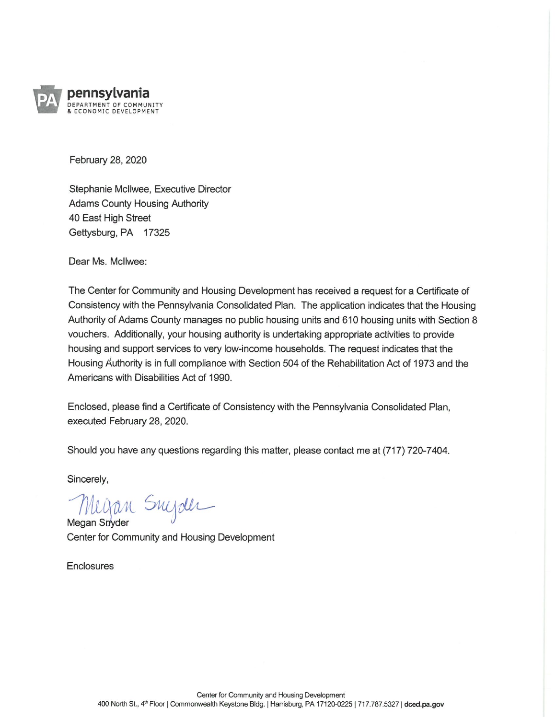

February 28, 2020

Stephanie McIlwee, Executive Director **Adams County Housing Authority** 40 East High Street Gettysburg, PA 17325

Dear Ms. McIlwee:

The Center for Community and Housing Development has received a request for a Certificate of Consistency with the Pennsylvania Consolidated Plan. The application indicates that the Housing Authority of Adams County manages no public housing units and 610 housing units with Section 8 vouchers. Additionally, your housing authority is undertaking appropriate activities to provide housing and support services to very low-income households. The request indicates that the Housing Authority is in full compliance with Section 504 of the Rehabilitation Act of 1973 and the Americans with Disabilities Act of 1990.

Enclosed, please find a Certificate of Consistency with the Pennsylvania Consolidated Plan, executed February 28, 2020.

Should you have any questions regarding this matter, please contact me at (717) 720-7404.

Sincerely,

Megan Snyder

Megan Snyder Center for Community and Housing Development

Enclosures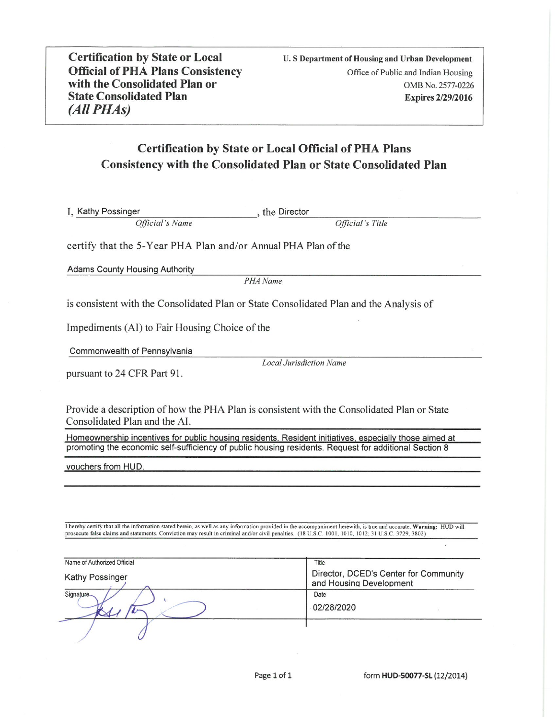**Certification by State or Local Official of PHA Plans Consistency** with the Consolidated Plan or **State Consolidated Plan** (All PHAs)

U. S Department of Housing and Urban Development Office of Public and Indian Housing OMB No. 2577-0226 **Expires 2/29/2016** 

## **Certification by State or Local Official of PHA Plans Consistency with the Consolidated Plan or State Consolidated Plan**

I. Kathy Possinger the Director Official's Name Official's Title

certify that the 5-Year PHA Plan and/or Annual PHA Plan of the

**Adams County Housing Authority** 

PHA Name

is consistent with the Consolidated Plan or State Consolidated Plan and the Analysis of

Impediments (AI) to Fair Housing Choice of the

Commonwealth of Pennsylvania

pursuant to 24 CFR Part 91.

**Local Jurisdiction Name** 

Provide a description of how the PHA Plan is consistent with the Consolidated Plan or State Consolidated Plan and the AI.

Homeownership incentives for public housing residents. Resident initiatives, especially those aimed at promoting the economic self-sufficiency of public housing residents. Request for additional Section 8

vouchers from HUD.

I hereby certify that all the information stated herein, as well as any information provided in the accompaniment herewith, is true and accurate. Warning: HUD will prosecute false claims and statements. Conviction may resu

| Name of Authorized Official | Title                                                            |
|-----------------------------|------------------------------------------------------------------|
| <b>Kathy Possinger</b>      | Director, DCED's Center for Community<br>and Housing Development |
| Signature                   | Date<br>02/28/2020                                               |
|                             |                                                                  |

form HUD-50077-SL (12/2014)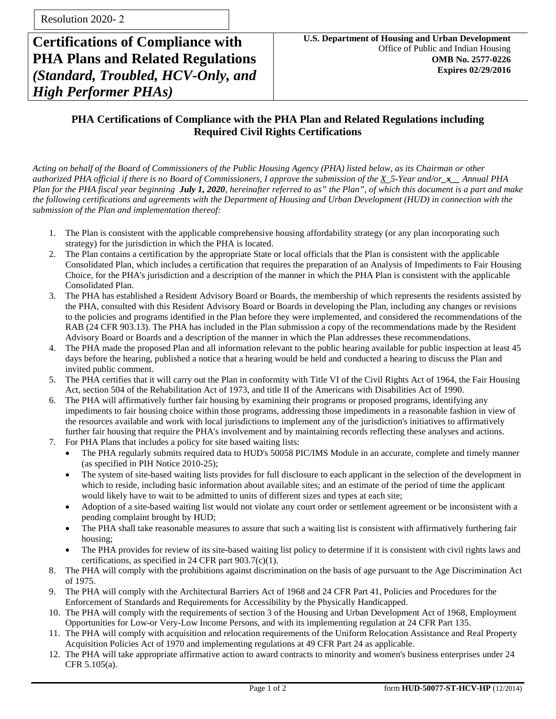**Certifications of Compliance with PHA Plans and Related Regulations** *(Standard, Troubled, HCV-Only, and High Performer PHAs)*

## **PHA Certifications of Compliance with the PHA Plan and Related Regulations including Required Civil Rights Certifications**

*Acting on behalf of the Board of Commissioners of the Public Housing Agency (PHA) listed below, as its Chairman or other authorized PHA official if there is no Board of Commissioners, I approve the submission of the X 5-Year and/or\_x\_\_ Annual PHA Plan for the PHA fiscal year beginning July 1, 2020, hereinafter referred to as" the Plan", of which this document is a part and make the following certifications and agreements with the Department of Housing and Urban Development (HUD) in connection with the submission of the Plan and implementation thereof:* 

- 1. The Plan is consistent with the applicable comprehensive housing affordability strategy (or any plan incorporating such strategy) for the jurisdiction in which the PHA is located.
- 2. The Plan contains a certification by the appropriate State or local officials that the Plan is consistent with the applicable Consolidated Plan, which includes a certification that requires the preparation of an Analysis of Impediments to Fair Housing Choice, for the PHA's jurisdiction and a description of the manner in which the PHA Plan is consistent with the applicable Consolidated Plan.
- 3. The PHA has established a Resident Advisory Board or Boards, the membership of which represents the residents assisted by the PHA, consulted with this Resident Advisory Board or Boards in developing the Plan, including any changes or revisions to the policies and programs identified in the Plan before they were implemented, and considered the recommendations of the RAB (24 CFR 903.13). The PHA has included in the Plan submission a copy of the recommendations made by the Resident Advisory Board or Boards and a description of the manner in which the Plan addresses these recommendations.
- 4. The PHA made the proposed Plan and all information relevant to the public hearing available for public inspection at least 45 days before the hearing, published a notice that a hearing would be held and conducted a hearing to discuss the Plan and invited public comment.
- 5. The PHA certifies that it will carry out the Plan in conformity with Title VI of the Civil Rights Act of 1964, the Fair Housing Act, section 504 of the Rehabilitation Act of 1973, and title II of the Americans with Disabilities Act of 1990.
- 6. The PHA will affirmatively further fair housing by examining their programs or proposed programs, identifying any impediments to fair housing choice within those programs, addressing those impediments in a reasonable fashion in view of the resources available and work with local jurisdictions to implement any of the jurisdiction's initiatives to affirmatively further fair housing that require the PHA's involvement and by maintaining records reflecting these analyses and actions.
- 7. For PHA Plans that includes a policy for site based waiting lists:
	- The PHA regularly submits required data to HUD's 50058 PIC/IMS Module in an accurate, complete and timely manner (as specified in PIH Notice 2010-25);
	- The system of site-based waiting lists provides for full disclosure to each applicant in the selection of the development in which to reside, including basic information about available sites; and an estimate of the period of time the applicant would likely have to wait to be admitted to units of different sizes and types at each site;
	- Adoption of a site-based waiting list would not violate any court order or settlement agreement or be inconsistent with a pending complaint brought by HUD;
	- The PHA shall take reasonable measures to assure that such a waiting list is consistent with affirmatively furthering fair housing;
	- The PHA provides for review of its site-based waiting list policy to determine if it is consistent with civil rights laws and certifications, as specified in 24 CFR part 903.7(c)(1).
- 8. The PHA will comply with the prohibitions against discrimination on the basis of age pursuant to the Age Discrimination Act of 1975.
- 9. The PHA will comply with the Architectural Barriers Act of 1968 and 24 CFR Part 41, Policies and Procedures for the Enforcement of Standards and Requirements for Accessibility by the Physically Handicapped.
- 10. The PHA will comply with the requirements of section 3 of the Housing and Urban Development Act of 1968, Employment Opportunities for Low-or Very-Low Income Persons, and with its implementing regulation at 24 CFR Part 135.
- 11. The PHA will comply with acquisition and relocation requirements of the Uniform Relocation Assistance and Real Property Acquisition Policies Act of 1970 and implementing regulations at 49 CFR Part 24 as applicable.
- 12. The PHA will take appropriate affirmative action to award contracts to minority and women's business enterprises under 24 CFR 5.105(a).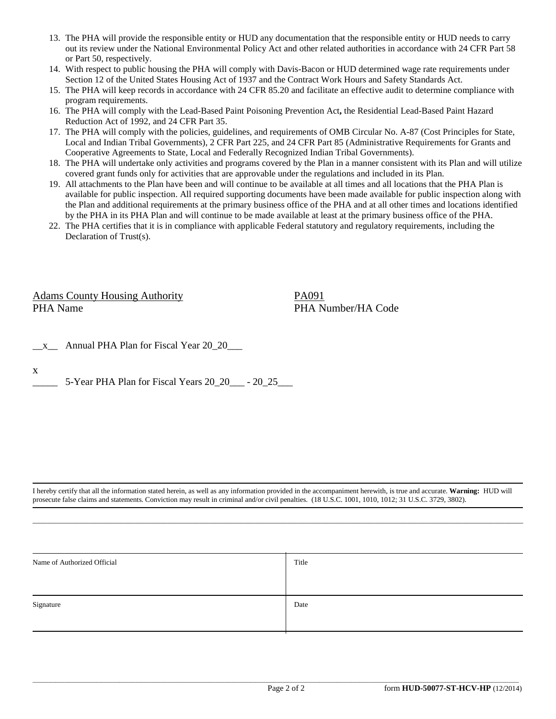- 13. The PHA will provide the responsible entity or HUD any documentation that the responsible entity or HUD needs to carry out its review under the National Environmental Policy Act and other related authorities in accordance with 24 CFR Part 58 or Part 50, respectively.
- 14. With respect to public housing the PHA will comply with Davis-Bacon or HUD determined wage rate requirements under Section 12 of the United States Housing Act of 1937 and the Contract Work Hours and Safety Standards Act.
- 15. The PHA will keep records in accordance with 24 CFR 85.20 and facilitate an effective audit to determine compliance with program requirements.
- 16. The PHA will comply with the Lead-Based Paint Poisoning Prevention Act**,** the Residential Lead-Based Paint Hazard Reduction Act of 1992, and 24 CFR Part 35.
- 17. The PHA will comply with the policies, guidelines, and requirements of OMB Circular No. A-87 (Cost Principles for State, Local and Indian Tribal Governments), 2 CFR Part 225, and 24 CFR Part 85 (Administrative Requirements for Grants and Cooperative Agreements to State, Local and Federally Recognized Indian Tribal Governments).
- 18. The PHA will undertake only activities and programs covered by the Plan in a manner consistent with its Plan and will utilize covered grant funds only for activities that are approvable under the regulations and included in its Plan.
- 19. All attachments to the Plan have been and will continue to be available at all times and all locations that the PHA Plan is available for public inspection. All required supporting documents have been made available for public inspection along with the Plan and additional requirements at the primary business office of the PHA and at all other times and locations identified by the PHA in its PHA Plan and will continue to be made available at least at the primary business office of the PHA.
- 22. The PHA certifies that it is in compliance with applicable Federal statutory and regulatory requirements, including the Declaration of Trust(s).

Adams County Housing Authority PA091 PHA Name PHA Number/HA Code

|  | Annual PHA Plan for Fiscal Year 20 20 |
|--|---------------------------------------|
|--|---------------------------------------|

x

5-Year PHA Plan for Fiscal Years 20\_20\_\_\_ - 20\_25\_\_\_

I hereby certify that all the information stated herein, as well as any information provided in the accompaniment herewith, is true and accurate. **Warning:** HUD will prosecute false claims and statements. Conviction may result in criminal and/or civil penalties. (18 U.S.C. 1001, 1010, 1012; 31 U.S.C. 3729, 3802).

 $\Box$  . The contribution of the contribution of the contribution of the contribution of the contribution of the contribution of the contribution of the contribution of the contribution of the contribution of the contributi

| Name of Authorized Official | Title |
|-----------------------------|-------|
|                             |       |
| Signature                   | Date  |
|                             |       |